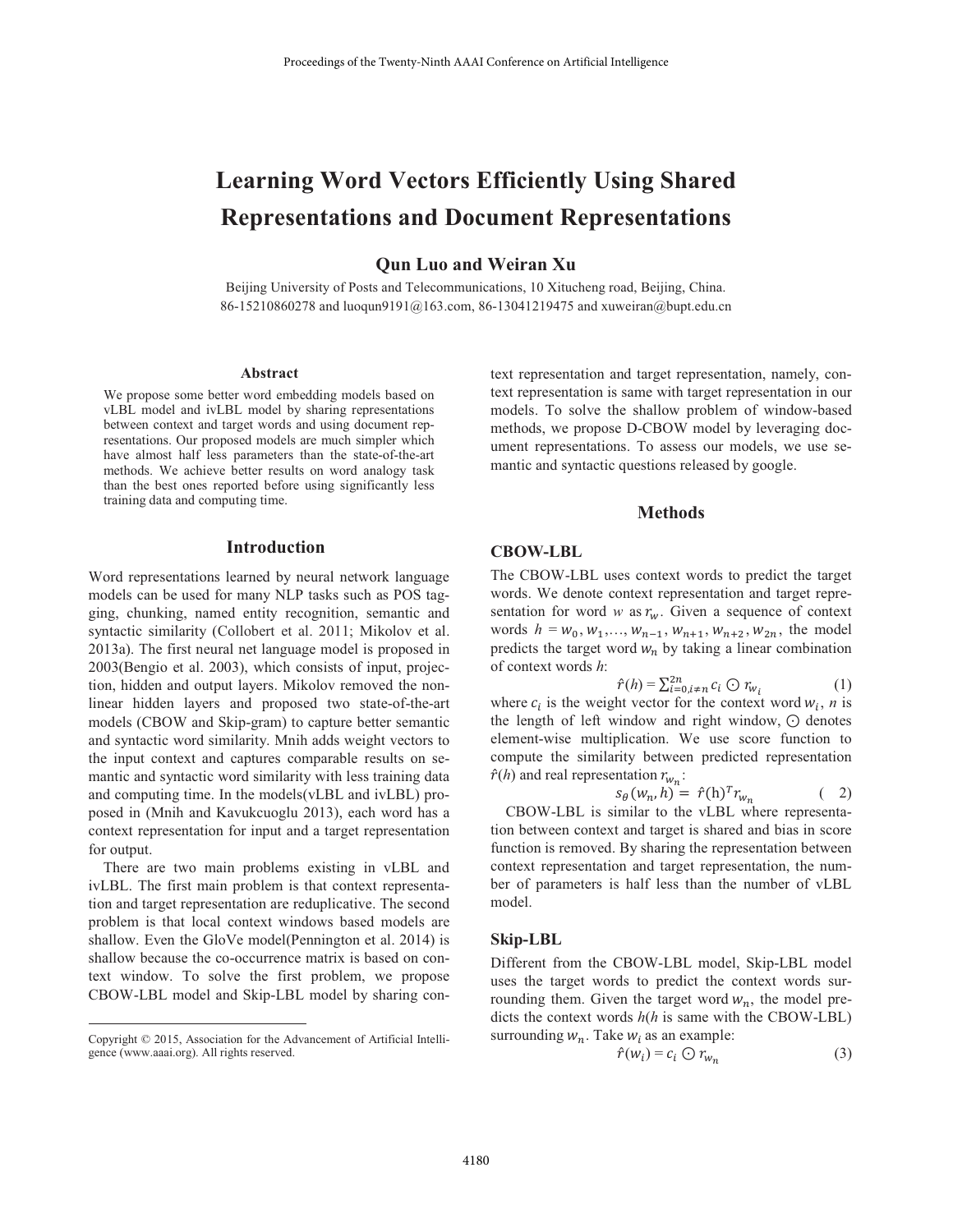# **Learning Word Vectors Efficiently Using Shared Representations and Document Representations**

## **Qun Luo and Weiran Xu**

Beijing University of Posts and Telecommunications, 10 Xitucheng road, Beijing, China. 86-15210860278 and luoqun9191@163.com, 86-13041219475 and xuweiran@bupt.edu.cn

#### **Abstract**

We propose some better word embedding models based on vLBL model and ivLBL model by sharing representations between context and target words and using document representations. Our proposed models are much simpler which have almost half less parameters than the state-of-the-art methods. We achieve better results on word analogy task than the best ones reported before using significantly less training data and computing time.

#### **Introduction**

Word representations learned by neural network language models can be used for many NLP tasks such as POS tagging, chunking, named entity recognition, semantic and syntactic similarity (Collobert et al. 2011; Mikolov et al. 2013a). The first neural net language model is proposed in 2003(Bengio et al. 2003), which consists of input, projection, hidden and output layers. Mikolov removed the nonlinear hidden layers and proposed two state-of-the-art models (CBOW and Skip-gram) to capture better semantic and syntactic word similarity. Mnih adds weight vectors to the input context and captures comparable results on semantic and syntactic word similarity with less training data and computing time. In the models (vLBL and ivLBL) proposed in (Mnih and Kavukcuoglu 2013), each word has a context representation for input and a target representation for output.

There are two main problems existing in vLBL and ivLBL. The first main problem is that context representation and target representation are reduplicative. The second problem is that local context windows based models are shallow. Even the GloVe model(Pennington et al. 2014) is shallow because the co-occurrence matrix is based on context window. To solve the first problem, we propose CBOW-LBL model and Skip-LBL model by sharing context representation and target representation, namely, context representation is same with target representation in our models. To solve the shallow problem of window-based methods, we propose D-CBOW model by leveraging document representations. To assess our models, we use semantic and syntactic questions released by google.

### **Methods**

#### **CBOW-LBL**

The CBOW-LBL uses context words to predict the target words. We denote context representation and target representation for word w as  $r_w$ . Given a sequence of context words  $h = w_0, w_1, \dots, w_{n-1}, w_{n+1}, w_{n+2}, w_{2n}$ , the model predicts the target word  $w_n$  by taking a linear combination of context words h:

$$
\hat{r}(h) = \sum_{i=0}^{2n} i \neq n} c_i \bigodot r_{w_i} \tag{1}
$$

where  $c_i$  is the weight vector for the context word  $w_i$ , *n* is the length of left window and right window,  $\odot$  denotes element-wise multiplication. We use score function to compute the similarity between predicted representation  $\hat{r}(h)$  and real representation  $r_{w_n}$ :

$$
\hat{\theta}(w_n, h) = \hat{r}(h)^T r_{w_n} \tag{2}
$$

CBOW-LBL is similar to the vLBL where representation between context and target is shared and bias in score function is removed. By sharing the representation between context representation and target representation, the number of parameters is half less than the number of vLBL model.

#### Skip-LBL

Different from the CBOW-LBL model, Skip-LBL model uses the target words to predict the context words surrounding them. Given the target word  $w_n$ , the model predicts the context words  $h(h)$  is same with the CBOW-LBL) surrounding  $w_n$ . Take  $w_i$  as an example:

$$
\hat{r}(w_i) = c_i \odot r_{w_n} \tag{3}
$$

Copyright © 2015, Association for the Advancement of Artificial Intelligence (www.aaai.org). All rights reserved.